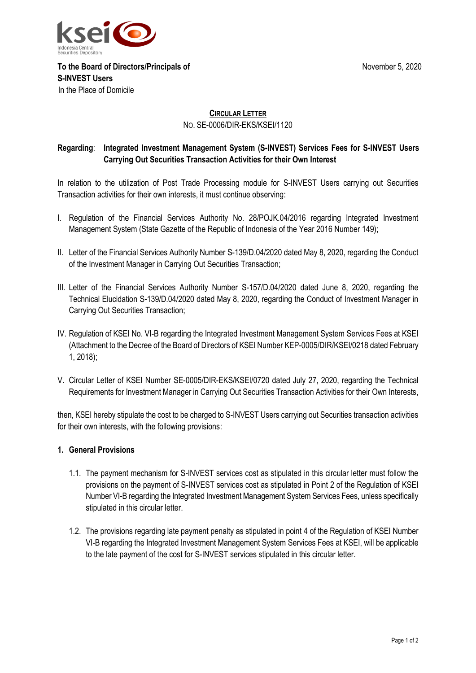

**To the Board of Directors/Principals of S-INVEST Users** In the Place of Domicile

## **CIRCULAR LETTER**

NO. SE-0006/DIR-EKS/KSEI/1120

# **Regarding**: **Integrated Investment Management System (S-INVEST) Services Fees for S-INVEST Users Carrying Out Securities Transaction Activities for their Own Interest**

In relation to the utilization of Post Trade Processing module for S-INVEST Users carrying out Securities Transaction activities for their own interests, it must continue observing:

- I. Regulation of the Financial Services Authority No. 28/POJK.04/2016 regarding Integrated Investment Management System (State Gazette of the Republic of Indonesia of the Year 2016 Number 149);
- II. Letter of the Financial Services Authority Number S-139/D.04/2020 dated May 8, 2020, regarding the Conduct of the Investment Manager in Carrying Out Securities Transaction;
- III. Letter of the Financial Services Authority Number S-157/D.04/2020 dated June 8, 2020, regarding the Technical Elucidation S-139/D.04/2020 dated May 8, 2020, regarding the Conduct of Investment Manager in Carrying Out Securities Transaction;
- IV. Regulation of KSEI No. VI-B regarding the Integrated Investment Management System Services Fees at KSEI (Attachment to the Decree of the Board of Directors of KSEI Number KEP-0005/DIR/KSEI/0218 dated February 1, 2018);
- V. Circular Letter of KSEI Number SE-0005/DIR-EKS/KSEI/0720 dated July 27, 2020, regarding the Technical Requirements for Investment Manager in Carrying Out Securities Transaction Activities for their Own Interests,

then, KSEI hereby stipulate the cost to be charged to S-INVEST Users carrying out Securities transaction activities for their own interests, with the following provisions:

#### **1. General Provisions**

- 1.1. The payment mechanism for S-INVEST services cost as stipulated in this circular letter must follow the provisions on the payment of S-INVEST services cost as stipulated in Point 2 of the Regulation of KSEI Number VI-B regarding the Integrated Investment Management System Services Fees, unless specifically stipulated in this circular letter.
- 1.2. The provisions regarding late payment penalty as stipulated in point 4 of the Regulation of KSEI Number VI-B regarding the Integrated Investment Management System Services Fees at KSEI, will be applicable to the late payment of the cost for S-INVEST services stipulated in this circular letter.